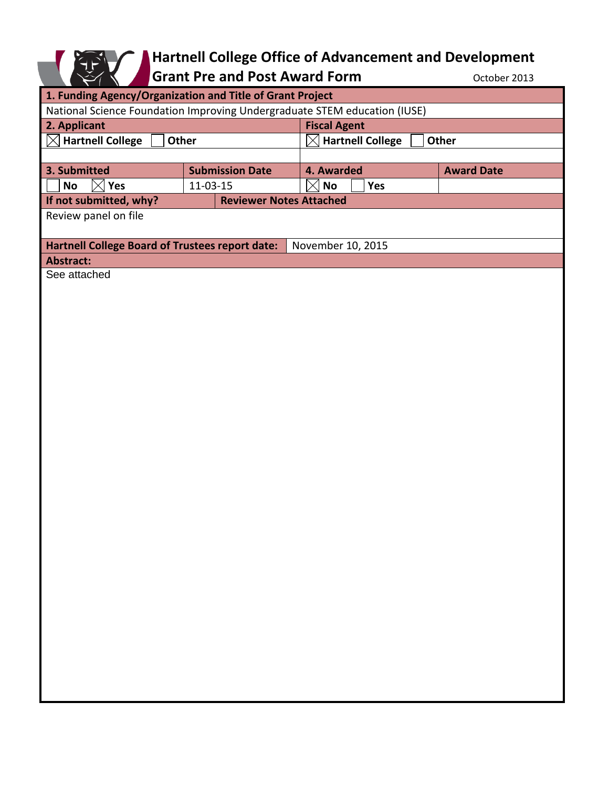

## **Hartnell College Office of Advancement and Development**

Grant Pre and Post Award Form **Contact Award** Form **CONTER** October 2013

| 1. Funding Agency/Organization and Title of Grant Project                   |                                |                                                     |                   |
|-----------------------------------------------------------------------------|--------------------------------|-----------------------------------------------------|-------------------|
| National Science Foundation Improving Undergraduate STEM education (IUSE)   |                                |                                                     |                   |
| 2. Applicant                                                                |                                | <b>Fiscal Agent</b>                                 |                   |
| <b>Hartnell College</b><br>$\boxtimes$<br>Other                             |                                | <b>Hartnell College</b><br>$\times$<br><b>Other</b> |                   |
|                                                                             |                                |                                                     |                   |
| 3. Submitted                                                                | <b>Submission Date</b>         | 4. Awarded                                          | <b>Award Date</b> |
| <b>No</b><br>Yes<br>$\bowtie$                                               | 11-03-15                       | $\mathsf{No}$<br>$\boxtimes$<br>Yes                 |                   |
| If not submitted, why?                                                      | <b>Reviewer Notes Attached</b> |                                                     |                   |
| Review panel on file                                                        |                                |                                                     |                   |
| <b>Hartnell College Board of Trustees report date:</b><br>November 10, 2015 |                                |                                                     |                   |
| <b>Abstract:</b>                                                            |                                |                                                     |                   |
| See attached                                                                |                                |                                                     |                   |
|                                                                             |                                |                                                     |                   |
|                                                                             |                                |                                                     |                   |
|                                                                             |                                |                                                     |                   |
|                                                                             |                                |                                                     |                   |
|                                                                             |                                |                                                     |                   |
|                                                                             |                                |                                                     |                   |
|                                                                             |                                |                                                     |                   |
|                                                                             |                                |                                                     |                   |
|                                                                             |                                |                                                     |                   |
|                                                                             |                                |                                                     |                   |
|                                                                             |                                |                                                     |                   |
|                                                                             |                                |                                                     |                   |
|                                                                             |                                |                                                     |                   |
|                                                                             |                                |                                                     |                   |
|                                                                             |                                |                                                     |                   |
|                                                                             |                                |                                                     |                   |
|                                                                             |                                |                                                     |                   |
|                                                                             |                                |                                                     |                   |
|                                                                             |                                |                                                     |                   |
|                                                                             |                                |                                                     |                   |
|                                                                             |                                |                                                     |                   |
|                                                                             |                                |                                                     |                   |
|                                                                             |                                |                                                     |                   |
|                                                                             |                                |                                                     |                   |
|                                                                             |                                |                                                     |                   |
|                                                                             |                                |                                                     |                   |